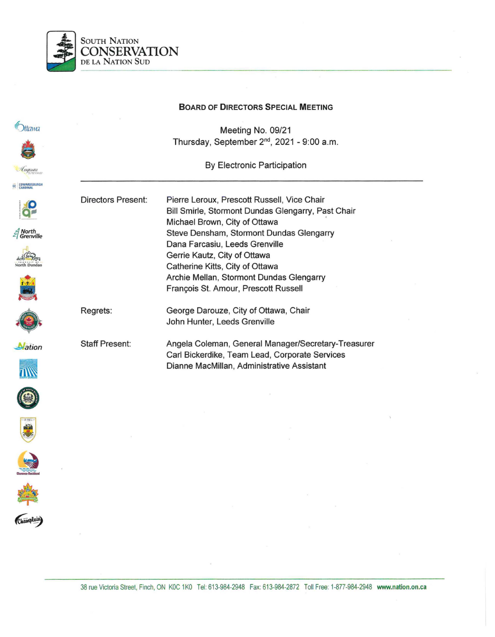

#### **BOARD OF DIRECTORS SPECIAL MEETING**

Meeting No. 09/21 Thursday, September 2nd, 2021 - 9:00 a.m.

By Electronic Participation

Pierre Leroux, Prescott Russell, Vice Chair



Regrets: Bill Smirle, Stormont Dundas Glengarry, Past Chair Michael Brown, City of Ottawa · Steve Densham, Stormont Dundas Glengarry Dana Farcasiu, Leeds Grenville Gerrie Kautz, City of Ottawa Catherine Kitts, City of Ottawa Archie Mellan, Stormont Dundas Glengarry François St. Amour, Prescott Russell George Darouze, City of Ottawa, Chair John Hunter, Leeds Grenville

Staff Present: Angela Coleman, General Manager/Secretary-Treasurer Carl Bickerdike, Team Lead, Corporate Services Dianne MacMillan, Administrative Assistant



**M**ation

*North*<br>Grenville

*<u>Ottawa</u>* 

EDWARDS





38 rue Victoria Street, Finch, ON KOC 1KO Tel: 613-984-2948 Fax: 613-984-2872 Toll Free: 1-877-984-2948 www.nation.on.ca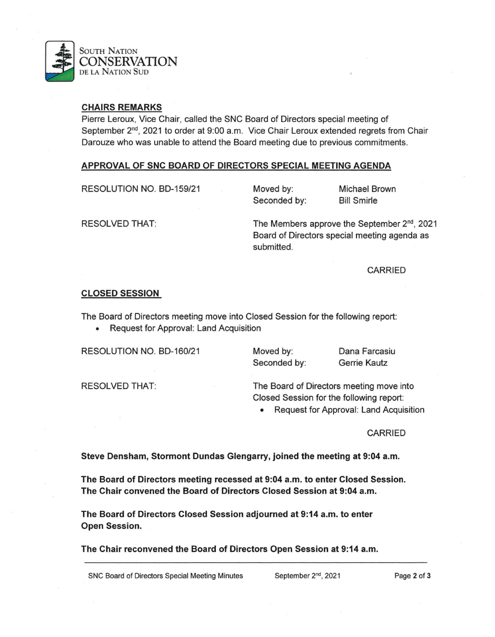

### CHAIRS REMARKS

Pierre Leroux, Vice Chair, called the SNC Board of Directors special meeting of September 2<sup>nd</sup>, 2021 to order at 9:00 a.m. Vice Chair Leroux extended regrets from Chair Darouze who was unable to attend the Board meeting due to previous commitments.

### APPROVAL OF SNC BOARD OF DIRECTORS SPECIAL MEETING AGENDA

RESOLUTION NO. BD-159/21

Moved by: Seconded by: Michael Brown Bill Smirle

The Members approve the September 2<sup>nd</sup>, 2021 Board of Directors special meeting agenda as submitted.

CARRIED

### CLOSED SESSION

RESOLVED THAT:

The Board of Directors meeting move into Closed Session for the following report:

• Request for Approval: Land Acquisition

RESOLUTION NO. BD-160/21

Moved by: Seconded by: Dana Farcasiu Gerrie Kautz

RESOLVED THAT:

The Board of Directors meeting move into Closed Session for the following report:

• Request for Approval: Land Acquisition

CARRIED

Steve Densham, Stormont Dundas Glengarry, joined the meeting at 9:04 a.m.

The Board of Directors meeting recessed at 9:04 a.m. to enter Closed Session. The Chair convened the Board of Directors Closed Session at 9:04 a.m.

The Board of Directors Closed Session adjourned at 9:14 a.m. to enter Open Session.

The Chair reconvened the Board of Directors Open Session at 9:14 a.m.

SNC Board of Directors Special Meeting Minutes September 2<sup>nd</sup>, 2021 Page 2 of 3